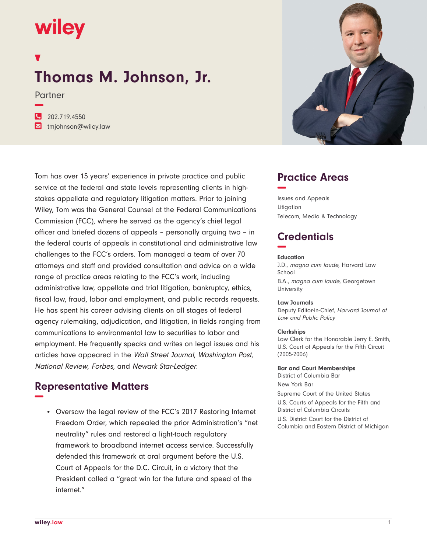# wiley

**−**

## **Thomas M. Johnson, Jr.**

Partner

**�** 202.719.4550

**�** tmjohnson@wiley.law

Tom has over 15 years' experience in private practice and public service at the federal and state levels representing clients in highstakes appellate and regulatory litigation matters. Prior to joining Wiley, Tom was the General Counsel at the Federal Communications Commission (FCC), where he served as the agency's chief legal officer and briefed dozens of appeals – personally arguing two – in the federal courts of appeals in constitutional and administrative law challenges to the FCC's orders. Tom managed a team of over 70 attorneys and staff and provided consultation and advice on a wide range of practice areas relating to the FCC's work, including administrative law, appellate and trial litigation, bankruptcy, ethics, fiscal law, fraud, labor and employment, and public records requests. He has spent his career advising clients on all stages of federal agency rulemaking, adjudication, and litigation, in fields ranging from communications to environmental law to securities to labor and employment. He frequently speaks and writes on legal issues and his articles have appeared in the Wall Street Journal, Washington Post, National Review, Forbes, and Newark Star-Ledger.

## **Representative Matters −**

• Oversaw the legal review of the FCC's 2017 Restoring Internet Freedom Order, which repealed the prior Administration's "net neutrality" rules and restored a light-touch regulatory framework to broadband internet access service. Successfully defended this framework at oral argument before the U.S. Court of Appeals for the D.C. Circuit, in a victory that the President called a "great win for the future and speed of the internet."



## **Practice Areas −**

Issues and Appeals Litigation Telecom, Media & Technology

## **Credentials −**

#### **Education**

J.D., magna cum laude, Harvard Law School B.A., magna cum laude, Georgetown **University** 

#### **Law Journals**

Deputy Editor-in-Chief, Harvard Journal of Law and Public Policy

#### **Clerkships**

Law Clerk for the Honorable Jerry E. Smith, U.S. Court of Appeals for the Fifth Circuit (2005-2006)

**Bar and Court Memberships** District of Columbia Bar

New York Bar Supreme Court of the United States U.S. Courts of Appeals for the Fifth and District of Columbia Circuits U.S. District Court for the District of Columbia and Eastern District of Michigan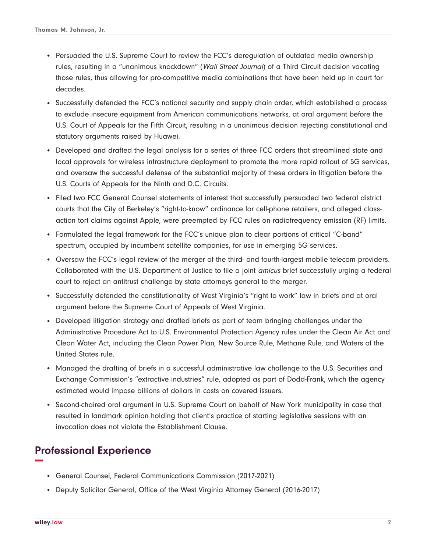- Persuaded the U.S. Supreme Court to review the FCC's deregulation of outdated media ownership rules, resulting in a "unanimous knockdown" (Wall Street Journal) of a Third Circuit decision vacating those rules, thus allowing for pro-competitive media combinations that have been held up in court for decades.
- Successfully defended the FCC's national security and supply chain order, which established a process to exclude insecure equipment from American communications networks, at oral argument before the U.S. Court of Appeals for the Fifth Circuit, resulting in a unanimous decision rejecting constitutional and statutory arguments raised by Huawei.
- Developed and drafted the legal analysis for a series of three FCC orders that streamlined state and local approvals for wireless infrastructure deployment to promote the more rapid rollout of 5G services, and oversaw the successful defense of the substantial majority of these orders in litigation before the U.S. Courts of Appeals for the Ninth and D.C. Circuits.
- Filed two FCC General Counsel statements of interest that successfully persuaded two federal district courts that the City of Berkeley's "right-to-know" ordinance for cell-phone retailers, and alleged classaction tort claims against Apple, were preempted by FCC rules on radiofrequency emission (RF) limits.
- Formulated the legal framework for the FCC's unique plan to clear portions of critical "C-band" spectrum, occupied by incumbent satellite companies, for use in emerging 5G services.
- Oversaw the FCC's legal review of the merger of the third- and fourth-largest mobile telecom providers. Collaborated with the U.S. Department of Justice to file a joint amicus brief successfully urging a federal court to reject an antitrust challenge by state attorneys general to the merger.
- Successfully defended the constitutionality of West Virginia's "right to work" law in briefs and at oral argument before the Supreme Court of Appeals of West Virginia.
- Developed litigation strategy and drafted briefs as part of team bringing challenges under the Administrative Procedure Act to U.S. Environmental Protection Agency rules under the Clean Air Act and Clean Water Act, including the Clean Power Plan, New Source Rule, Methane Rule, and Waters of the United States rule.
- Managed the drafting of briefs in a successful administrative law challenge to the U.S. Securities and Exchange Commission's "extractive industries" rule, adopted as part of Dodd-Frank, which the agency estimated would impose billions of dollars in costs on covered issuers.
- Second-chaired oral argument in U.S. Supreme Court on behalf of New York municipality in case that resulted in landmark opinion holding that client's practice of starting legislative sessions with an invocation does not violate the Establishment Clause.

## **Professional Experience −**

- General Counsel, Federal Communications Commission (2017-2021)
- Deputy Solicitor General, Office of the West Virginia Attorney General (2016-2017)